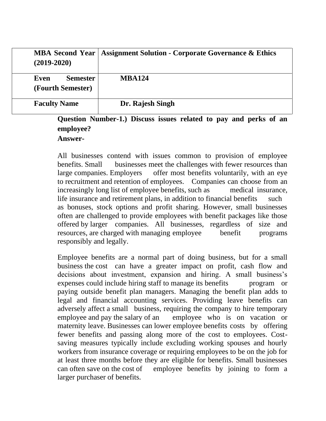| $(2019 - 2020)$                              | <b>MBA Second Year   Assignment Solution - Corporate Governance &amp; Ethics</b> |
|----------------------------------------------|----------------------------------------------------------------------------------|
| <b>Semester</b><br>Even<br>(Fourth Semester) | <b>MBA124</b>                                                                    |
| <b>Faculty Name</b>                          | Dr. Rajesh Singh                                                                 |

**Question Number-1.) Discuss issues related to pay and perks of an employee?**

## **Answer-**

All businesses contend with issues common to provision of employee benefits. Small businesses meet the challenges with fewer resources than large companies. Employers offer most benefits voluntarily, with an eye to recruitment and retention of employees. Companies can choose from an increasingly long list of employee benefits, such as medical insurance, life insurance and retirement plans, in addition to financial benefits such as bonuses, stock options and profit sharing. However, small businesses often are challenged to provide employees with benefit packages like those offered by larger companies. All businesses, regardless of size and resources, are charged with managing employee benefit programs responsibly and legally.

Employee benefits are a normal part of doing business, but for a small business the cost can have a greater impact on profit, cash flow and decisions about investment, expansion and hiring. A small business's expenses could include hiring staff to manage its benefits program or paying outside benefit plan managers. Managing the benefit plan adds to legal and financial accounting services. Providing leave benefits can adversely affect a small business, requiring the company to hire temporary employee and pay the salary of an employee who is on vacation or maternity leave. Businesses can lower employee benefits costs by offering fewer benefits and passing along more of the cost to employees. Costsaving measures typically include excluding working spouses and hourly workers from insurance coverage or requiring employees to be on the job for at least three months before they are eligible for benefits. Small businesses can often save on the cost of employee benefits by joining to form a larger purchaser of benefits.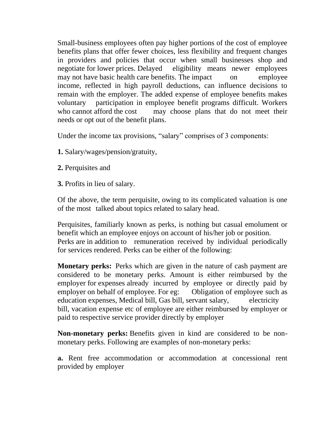Small-business employees often pay higher portions of the cost of employee benefits plans that offer fewer choices, less flexibility and frequent changes in providers and policies that occur when small businesses shop and negotiate for lower prices. Delayed eligibility means newer employees may not have basic health care benefits. The impact on employee income, reflected in high payroll deductions, can influence decisions to remain with the employer. The added expense of employee benefits makes voluntary participation in employee benefit programs difficult. Workers who cannot afford the cost may choose plans that do not meet their needs or opt out of the benefit plans.

Under the income tax provisions, "salary" comprises of 3 components:

- **1.** Salary/wages/pension/gratuity,
- **2.** Perquisites and
- **3.** Profits in lieu of salary.

Of the above, the term perquisite, owing to its complicated valuation is one of the most talked about topics related to salary head.

Perquisites, familiarly known as perks, is nothing but casual emolument or benefit which an employee enjoys on account of his/her job or position. Perks are in addition to remuneration received by individual periodically for services rendered. Perks can be either of the following:

**Monetary perks:** Perks which are given in the nature of cash payment are considered to be monetary perks. Amount is either reimbursed by the employer for expenses already incurred by employee or directly paid by employer on behalf of employee. For eg: Obligation of employee such as education expenses, Medical bill, Gas bill, servant salary, electricity bill, vacation expense etc of employee are either reimbursed by employer or paid to respective service provider directly by employer

**Non-monetary perks:** Benefits given in kind are considered to be nonmonetary perks. Following are examples of non-monetary perks:

**a.** Rent free accommodation or accommodation at concessional rent provided by employer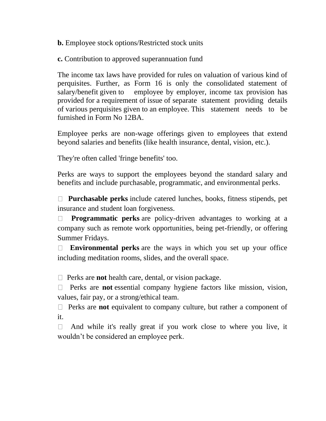**b.** Employee stock options/Restricted stock units

**c.** Contribution to approved superannuation fund

The income tax laws have provided for rules on valuation of various kind of perquisites. Further, as Form 16 is only the consolidated statement of salary/benefit given to employee by employer, income tax provision has provided for a requirement of issue of separate statement providing details of various perquisites given to an employee. This statement needs to be furnished in Form No 12BA.

Employee perks are non-wage offerings given to employees that extend beyond salaries and benefits (like health insurance, dental, vision, etc.).

They're often called 'fringe benefits' too.

Perks are ways to support the employees beyond the standard salary and benefits and include purchasable, programmatic, and environmental perks.

 **Purchasable perks** include catered lunches, books, fitness stipends, pet insurance and student loan forgiveness.

 **Programmatic perks** are policy-driven advantages to working at a company such as remote work opportunities, being pet-friendly, or offering Summer Fridays.

 **Environmental perks** are the ways in which you set up your office including meditation rooms, slides, and the overall space.

 $\Box$  Perks are **not** health care, dental, or vision package.

 Perks are **not** essential company hygiene factors like mission, vision, values, fair pay, or a strong/ethical team.

 Perks are **not** equivalent to company culture, but rather a component of it.

 And while it's really great if you work close to where you live, it wouldn't be considered an employee perk.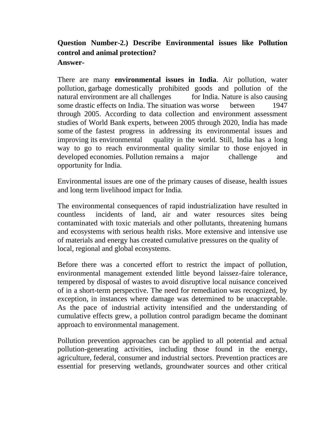## **Question Number-2.) Describe Environmental issues like Pollution control and animal protection? Answer-**

There are many **environmental issues in India**. Air pollution, water pollution, garbage domestically prohibited goods and pollution of the natural environment are all challenges for India. Nature is also causing some drastic effects on India. The situation was worse between 1947 through 2005. According to data collection and environment assessment studies of World Bank experts, between 2005 through 2020, India has made some of the fastest progress in addressing its environmental issues and improving its environmental quality in the world. Still, India has a long way to go to reach environmental quality similar to those enjoyed in developed economies. Pollution remains a major challenge and opportunity for India.

Environmental issues are one of the primary causes of disease, health issues and long term livelihood impact for India.

The environmental consequences of rapid industrialization have resulted in countless incidents of land, air and water resources sites being contaminated with toxic materials and other pollutants, threatening humans and ecosystems with serious health risks. More extensive and intensive use of materials and energy has created cumulative pressures on the quality of local, regional and global ecosystems.

Before there was a concerted effort to restrict the impact of pollution, environmental management extended little beyond laissez-faire tolerance, tempered by disposal of wastes to avoid disruptive local nuisance conceived of in a short-term perspective. The need for remediation was recognized, by exception, in instances where damage was determined to be unacceptable. As the pace of industrial activity intensified and the understanding of cumulative effects grew, a pollution control paradigm became the dominant approach to environmental management.

Pollution prevention approaches can be applied to all potential and actual pollution-generating activities, including those found in the energy, agriculture, federal, consumer and industrial sectors. Prevention practices are essential for preserving wetlands, groundwater sources and other critical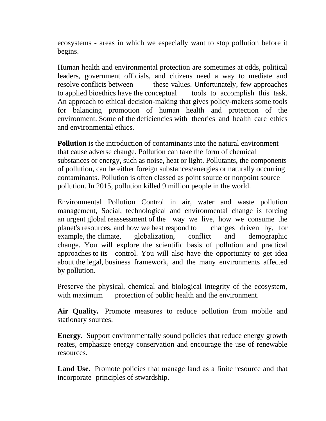ecosystems - areas in which we especially want to stop pollution before it begins.

Human health and environmental protection are sometimes at odds, political leaders, government officials, and citizens need a way to mediate and resolve conflicts between these values. Unfortunately, few approaches to applied bioethics have the conceptual tools to accomplish this task. An approach to ethical decision-making that gives policy-makers some tools for balancing promotion of human health and protection of the environment. Some of the deficiencies with theories and health care ethics and environmental ethics.

**Pollution** is the introduction of contaminants into the natural environment that cause adverse change. Pollution can take the form of chemical substances or energy, such as noise, heat or light. Pollutants, the components of pollution, can be either foreign substances/energies or naturally occurring contaminants. Pollution is often classed as point source or nonpoint source pollution. In 2015, pollution killed 9 million people in the world.

Environmental Pollution Control in air, water and waste pollution management, Social, technological and environmental change is forcing an urgent global reassessment of the way we live, how we consume the planet's resources, and how we best respond to changes driven by, for example, the climate, globalization, conflict and demographic change. You will explore the scientific basis of pollution and practical approaches to its control. You will also have the opportunity to get idea about the legal, business framework, and the many environments affected by pollution.

Preserve the physical, chemical and biological integrity of the ecosystem, with maximum protection of public health and the environment.

**Air Quality.** Promote measures to reduce pollution from mobile and stationary sources.

**Energy.** Support environmentally sound policies that reduce energy growth reates, emphasize energy conservation and encourage the use of renewable resources.

Land Use. Promote policies that manage land as a finite resource and that incorporate principles of stwardship.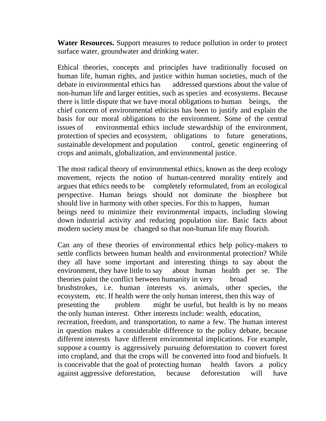**Water Resources.** Support measures to reduce pollution in order to protect surface water, groundwater and drinking water.

Ethical theories, concepts and principles have traditionally focused on human life, human rights, and justice within human societies, much of the debate in environmental ethics has addressed questions about the value of non-human life and larger entities, such as species and ecosystems. Because there is little dispute that we have moral obligations to human beings, the chief concern of environmental ethicists has been to justify and explain the basis for our moral obligations to the environment. Some of the central issues of environmental ethics include stewardship of the environment, protection of species and ecosystem, obligations to future generations, sustainable development and population control, genetic engineering of crops and animals, globalization, and environmental justice.

The most radical theory of environmental ethics, known as the deep ecology movement, rejects the notion of human-centered morality entirely and argues that ethics needs to be completely reformulated, from an ecological perspective. Human beings should not dominate the biosphere but should live in harmony with other species. For this to happen, human beings need to minimize their environmental impacts, including slowing down industrial activity and reducing population size. Basic facts about modern society must be changed so that non-human life may flourish.

Can any of these theories of environmental ethics help policy-makers to settle conflicts between human health and environmental protection? While they all have some important and interesting things to say about the environment, they have little to say about human health per se. The theories paint the conflict between humanity in very broad

brushstrokes, i.e. human interests vs. animals, other species, the ecosystem, etc. If health were the only human interest, then this way of

presenting the problem might be useful, but health is by no means the only human interest. Other interests include: wealth, education,

recreation, freedom, and transportation, to name a few. The human interest in question makes a considerable difference to the policy debate, because different interests have different environmental implications. For example, suppose a country is aggressively pursuing deforestation to convert forest into cropland, and that the crops will be converted into food and biofuels. It is conceivable that the goal of protecting human health favors a policy against aggressive deforestation, because deforestation will have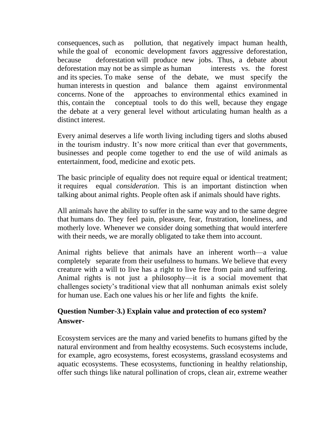consequences, such as pollution, that negatively impact human health, while the goal of economic development favors aggressive deforestation, because deforestation will produce new jobs. Thus, a debate about deforestation may not be as simple as human interests vs. the forest and its species. To make sense of the debate, we must specify the human interests in question and balance them against environmental concerns. None of the approaches to environmental ethics examined in this, contain the conceptual tools to do this well, because they engage the debate at a very general level without articulating human health as a distinct interest.

Every animal deserves a life worth living including tigers and sloths abused in the tourism industry. It's now more critical than ever that governments, businesses and people come together to end the use of wild animals as entertainment, food, medicine and exotic pets.

The basic principle of equality does not require equal or identical treatment; it requires equal *consideration*. This is an important distinction when talking about animal rights. People often ask if animals should have rights.

All animals have the ability to suffer in the same way and to the same degree that humans do. They feel pain, pleasure, fear, frustration, loneliness, and motherly love. Whenever we consider doing something that would interfere with their needs, we are morally obligated to take them into account.

Animal rights believe that animals have an inherent worth—a value completely separate from their usefulness to humans. We believe that every creature with a will to live has a right to live free from pain and suffering. Animal rights is not just a philosophy—it is a social movement that challenges society's traditional view that all nonhuman animals exist solely for human use. Each one values his or her life and fights the knife.

## **Question Number-3.) Explain value and protection of eco system? Answer-**

Ecosystem services are the many and varied benefits to humans gifted by the natural environment and from healthy ecosystems. Such ecosystems include, for example, agro ecosystems, forest ecosystems, grassland ecosystems and aquatic ecosystems. These ecosystems, functioning in healthy relationship, offer such things like natural pollination of crops, clean air, extreme weather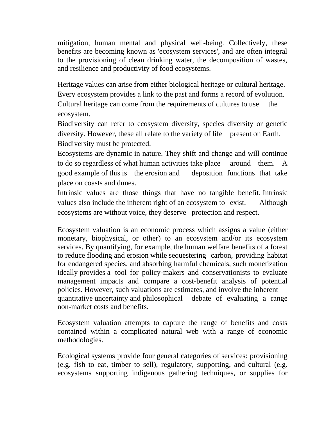mitigation, human mental and physical well-being. Collectively, these benefits are becoming known as 'ecosystem services', and are often integral to the provisioning of clean drinking water, the decomposition of wastes, and resilience and productivity of food ecosystems.

Heritage values can arise from either biological heritage or cultural heritage. Every ecosystem provides a link to the past and forms a record of evolution. Cultural heritage can come from the requirements of cultures to use the ecosystem.

Biodiversity can refer to ecosystem diversity, species diversity or genetic diversity. However, these all relate to the variety of life present on Earth. Biodiversity must be protected.

Ecosystems are dynamic in nature. They shift and change and will continue to do so regardless of what human activities take place around them. A good example of this is the erosion and deposition functions that take place on coasts and dunes.

Intrinsic values are those things that have no tangible benefit. Intrinsic values also include the inherent right of an ecosystem to exist. Although ecosystems are without voice, they deserve protection and respect.

Ecosystem valuation is an economic process which assigns a value (either monetary, biophysical, or other) to an ecosystem and/or its ecosystem services. By quantifying, for example, the human welfare benefits of a forest to reduce flooding and erosion while sequestering carbon, providing habitat for endangered species, and absorbing harmful chemicals, such monetization ideally provides a tool for policy-makers and conservationists to evaluate management impacts and compare a cost-benefit analysis of potential policies. However, such valuations are estimates, and involve the inherent quantitative uncertainty and philosophical debate of evaluating a range non-market costs and benefits.

Ecosystem valuation attempts to capture the range of benefits and costs contained within a complicated natural web with a range of economic methodologies.

Ecological systems provide four general categories of services: provisioning (e.g. fish to eat, timber to sell), regulatory, supporting, and cultural (e.g. ecosystems supporting indigenous gathering techniques, or supplies for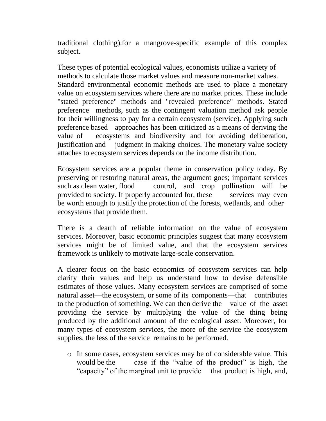traditional clothing).for a mangrove-specific example of this complex subject.

These types of potential ecological values, economists utilize a variety of methods to calculate those market values and measure non-market values. Standard environmental economic methods are used to place a monetary value on ecosystem services where there are no market prices. These include "stated preference" methods and "revealed preference" methods. Stated preference methods, such as the contingent valuation method ask people for their willingness to pay for a certain ecosystem (service). Applying such preference based approaches has been criticized as a means of deriving the value of ecosystems and biodiversity and for avoiding deliberation, justification and judgment in making choices. The monetary value society attaches to ecosystem services depends on the income distribution.

Ecosystem services are a popular theme in conservation policy today. By preserving or restoring natural areas, the argument goes; important services such as clean water, flood control, and crop pollination will be provided to society. If properly accounted for, these services may even be worth enough to justify the protection of the forests, wetlands, and other ecosystems that provide them.

There is a dearth of reliable information on the value of ecosystem services. Moreover, basic economic principles suggest that many ecosystem services might be of limited value, and that the ecosystem services framework is unlikely to motivate large-scale conservation.

A clearer focus on the basic economics of ecosystem services can help clarify their values and help us understand how to devise defensible estimates of those values. Many ecosystem services are comprised of some natural asset—the ecosystem, or some of its components—that contributes to the production of something. We can then derive the value of the asset providing the service by multiplying the value of the thing being produced by the additional amount of the ecological asset. Moreover, for many types of ecosystem services, the more of the service the ecosystem supplies, the less of the service remains to be performed.

o In some cases, ecosystem services may be of considerable value. This would be the case if the "value of the product" is high, the "capacity" of the marginal unit to provide that product is high, and,